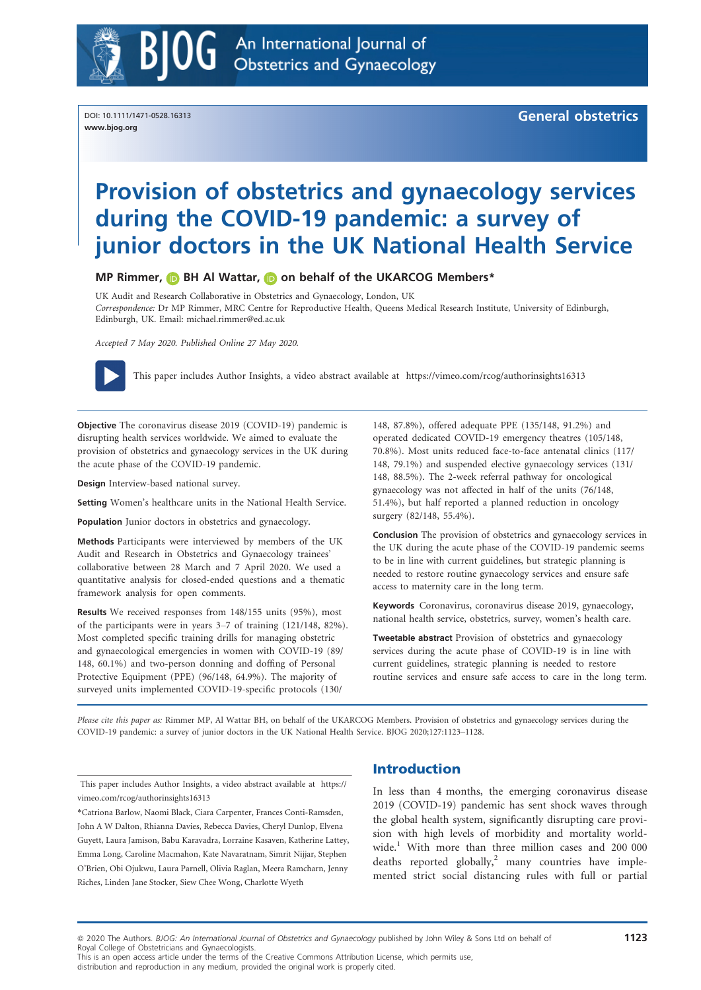

DOI: 10.1111/1471-0528.16313 www.bjog.org

General obstetrics

# Provision of obstetrics and gynaecology services during the COVID-19 pandemic: a survey of junior doctors in the UK National Health Service

MP Rimmer[,](https://orcid.org/0000-0001-8287-9271) **BH Al Wattar, B** on behalf of the UKARCOG Members\*

UK Audit and Research Collaborative in Obstetrics and Gynaecology, London, UK Correspondence: Dr MP Rimmer, MRC Centre for Reproductive Health, Queens Medical Research Institute, University of Edinburgh, Edinburgh, UK. Email: [michael.rimmer@ed.ac.uk](mailto:)

Accepted 7 May 2020. Published Online 27 May 2020.



This paper includes Author Insights, a video abstract available at<https://vimeo.com/rcog/authorinsights16313>

Objective The coronavirus disease 2019 (COVID-19) pandemic is disrupting health services worldwide. We aimed to evaluate the provision of obstetrics and gynaecology services in the UK during the acute phase of the COVID-19 pandemic.

Design Interview-based national survey.

Setting Women's healthcare units in the National Health Service.

Population Junior doctors in obstetrics and gynaecology.

Methods Participants were interviewed by members of the UK Audit and Research in Obstetrics and Gynaecology trainees' collaborative between 28 March and 7 April 2020. We used a quantitative analysis for closed-ended questions and a thematic framework analysis for open comments.

Results We received responses from 148/155 units (95%), most of the participants were in years 3–7 of training (121/148, 82%). Most completed specific training drills for managing obstetric and gynaecological emergencies in women with COVID-19 (89/ 148, 60.1%) and two-person donning and doffing of Personal Protective Equipment (PPE) (96/148, 64.9%). The majority of surveyed units implemented COVID-19-specific protocols (130/

148, 87.8%), offered adequate PPE (135/148, 91.2%) and operated dedicated COVID-19 emergency theatres (105/148, 70.8%). Most units reduced face-to-face antenatal clinics (117/ 148, 79.1%) and suspended elective gynaecology services (131/ 148, 88.5%). The 2-week referral pathway for oncological gynaecology was not affected in half of the units (76/148, 51.4%), but half reported a planned reduction in oncology surgery (82/148, 55.4%).

Conclusion The provision of obstetrics and gynaecology services in the UK during the acute phase of the COVID-19 pandemic seems to be in line with current guidelines, but strategic planning is needed to restore routine gynaecology services and ensure safe access to maternity care in the long term.

Keywords Coronavirus, coronavirus disease 2019, gynaecology, national health service, obstetrics, survey, women's health care.

Tweetable abstract Provision of obstetrics and gynaecology services during the acute phase of COVID-19 is in line with current guidelines, strategic planning is needed to restore routine services and ensure safe access to care in the long term.

Please cite this paper as: Rimmer MP, Al Wattar BH, on behalf of the UKARCOG Members. Provision of obstetrics and gynaecology services during the COVID-19 pandemic: a survey of junior doctors in the UK National Health Service. BJOG 2020[;127:1123](https://doi.org/10.1111/1471-0528.16313)–1128.

This paper includes Author Insights, a video abstract available at [https://](https://vimeo.com/rcog/authorinsights16313) [vimeo.com/rcog/authorinsights16313](https://vimeo.com/rcog/authorinsights16313)

\*Catriona Barlow, Naomi Black, Ciara Carpenter, Frances Conti-Ramsden, John A W Dalton, Rhianna Davies, Rebecca Davies, Cheryl Dunlop, Elvena Guyett, Laura Jamison, Babu Karavadra, Lorraine Kasaven, Katherine Lattey, Emma Long, Caroline Macmahon, Kate Navaratnam, Simrit Nijjar, Stephen O'Brien, Obi Ojukwu, Laura Parnell, Olivia Raglan, Meera Ramcharn, Jenny Riches, Linden Jane Stocker, Siew Chee Wong, Charlotte Wyeth

# Introduction

In less than 4 months, the emerging coronavirus disease 2019 (COVID-19) pandemic has sent shock waves through the global health system, significantly disrupting care provision with high levels of morbidity and mortality worldwide. $1$  With more than three million cases and 200 000 deaths reported globally, $^2$  many countries have implemented strict social distancing rules with full or partial

distribution and reproduction in any medium, provided the original work is properly cited.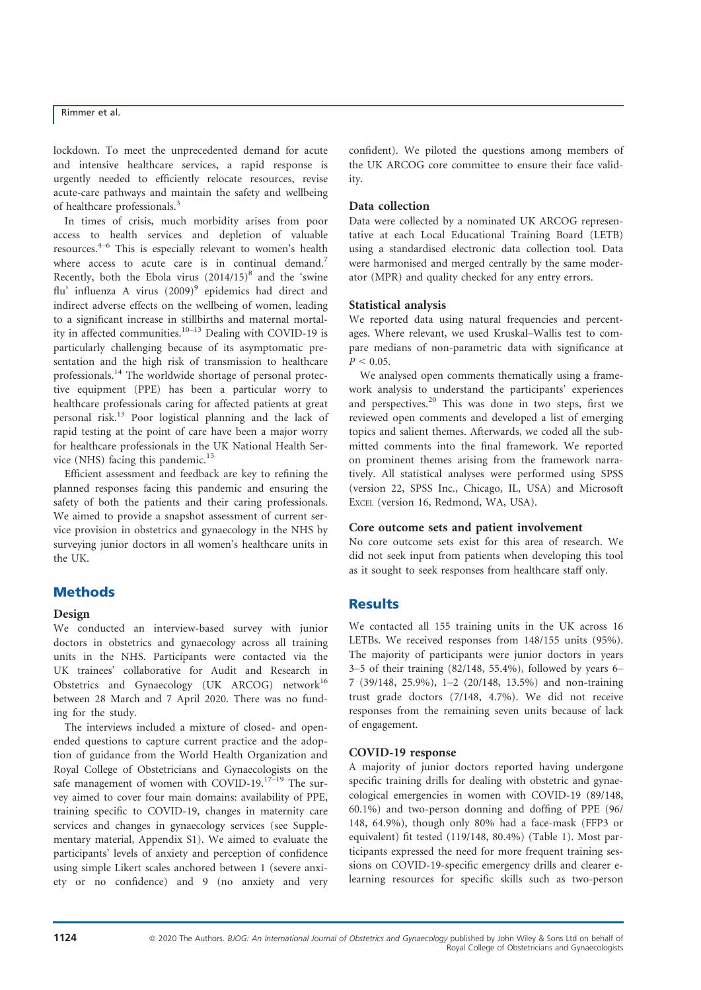## Rimmer et al.

lockdown. To meet the unprecedented demand for acute and intensive healthcare services, a rapid response is urgently needed to efficiently relocate resources, revise acute-care pathways and maintain the safety and wellbeing of healthcare professionals.<sup>3</sup>

In times of crisis, much morbidity arises from poor access to health services and depletion of valuable resources.4–<sup>6</sup> This is especially relevant to women's health where access to acute care is in continual demand.<sup>7</sup> Recently, both the Ebola virus  $(2014/15)^8$  and the 'swine flu' influenza A virus (2009)<sup>9</sup> epidemics had direct and indirect adverse effects on the wellbeing of women, leading to a significant increase in stillbirths and maternal mortality in affected communities. $10^{-13}$  Dealing with COVID-19 is particularly challenging because of its asymptomatic presentation and the high risk of transmission to healthcare professionals.<sup>14</sup> The worldwide shortage of personal protective equipment (PPE) has been a particular worry to healthcare professionals caring for affected patients at great personal risk.13 Poor logistical planning and the lack of rapid testing at the point of care have been a major worry for healthcare professionals in the UK National Health Service (NHS) facing this pandemic.<sup>15</sup>

Efficient assessment and feedback are key to refining the planned responses facing this pandemic and ensuring the safety of both the patients and their caring professionals. We aimed to provide a snapshot assessment of current service provision in obstetrics and gynaecology in the NHS by surveying junior doctors in all women's healthcare units in the UK.

## **Methods**

#### Design

We conducted an interview-based survey with junior doctors in obstetrics and gynaecology across all training units in the NHS. Participants were contacted via the UK trainees' collaborative for Audit and Research in Obstetrics and Gynaecology (UK ARCOG) network $16$ between 28 March and 7 April 2020. There was no funding for the study.

The interviews included a mixture of closed- and openended questions to capture current practice and the adoption of guidance from the World Health Organization and Royal College of Obstetricians and Gynaecologists on the safe management of women with COVID-19.<sup>17-19</sup> The survey aimed to cover four main domains: availability of PPE, training specific to COVID-19, changes in maternity care services and changes in gynaecology services (see Supplementary material, Appendix S1). We aimed to evaluate the participants' levels of anxiety and perception of confidence using simple Likert scales anchored between 1 (severe anxiety or no confidence) and 9 (no anxiety and very confident). We piloted the questions among members of the UK ARCOG core committee to ensure their face validity.

#### Data collection

Data were collected by a nominated UK ARCOG representative at each Local Educational Training Board (LETB) using a standardised electronic data collection tool. Data were harmonised and merged centrally by the same moderator (MPR) and quality checked for any entry errors.

#### Statistical analysis

We reported data using natural frequencies and percentages. Where relevant, we used Kruskal–Wallis test to compare medians of non-parametric data with significance at  $P < 0.05$ .

We analysed open comments thematically using a framework analysis to understand the participants' experiences and perspectives.<sup>20</sup> This was done in two steps, first we reviewed open comments and developed a list of emerging topics and salient themes. Afterwards, we coded all the submitted comments into the final framework. We reported on prominent themes arising from the framework narratively. All statistical analyses were performed using SPSS (version 22, SPSS Inc., Chicago, IL, USA) and Microsoft EXCEL (version 16, Redmond, WA, USA).

#### Core outcome sets and patient involvement

No core outcome sets exist for this area of research. We did not seek input from patients when developing this tool as it sought to seek responses from healthcare staff only.

# Results

We contacted all 155 training units in the UK across 16 LETBs. We received responses from 148/155 units (95%). The majority of participants were junior doctors in years 3–5 of their training (82/148, 55.4%), followed by years 6– 7 (39/148, 25.9%), 1–2 (20/148, 13.5%) and non-training trust grade doctors (7/148, 4.7%). We did not receive responses from the remaining seven units because of lack of engagement.

## COVID-19 response

A majority of junior doctors reported having undergone specific training drills for dealing with obstetric and gynaecological emergencies in women with COVID-19 (89/148, 60.1%) and two-person donning and doffing of PPE (96/ 148, 64.9%), though only 80% had a face-mask (FFP3 or equivalent) fit tested (119/148, 80.4%) (Table 1). Most participants expressed the need for more frequent training sessions on COVID-19-specific emergency drills and clearer elearning resources for specific skills such as two-person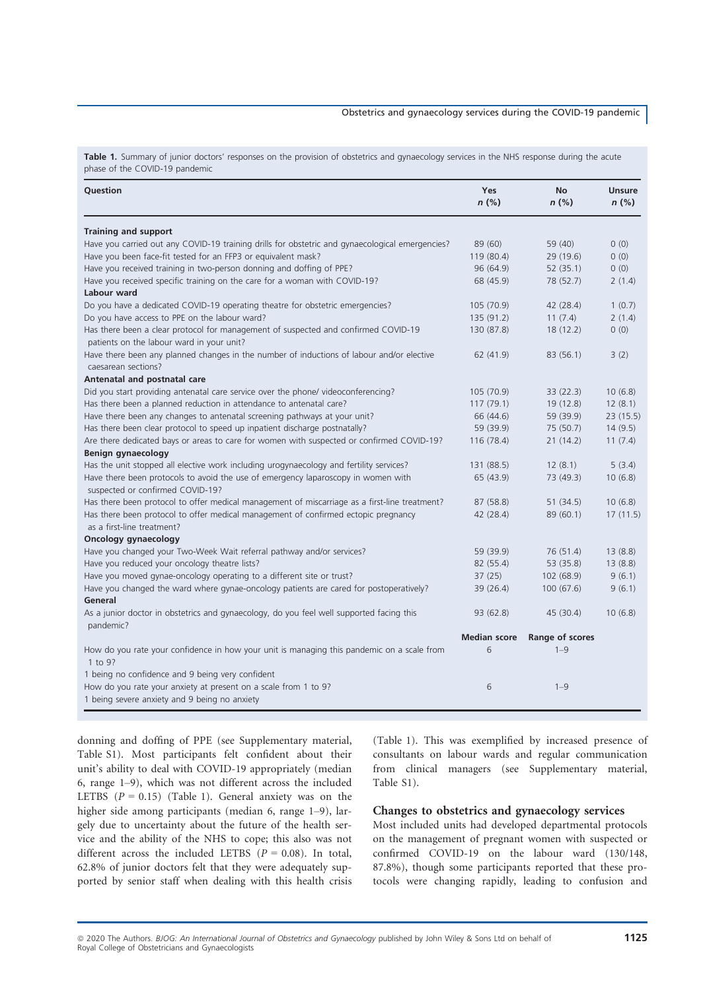#### Obstetrics and gynaecology services during the COVID-19 pandemic

Table 1. Summary of junior doctors' responses on the provision of obstetrics and gynaecology services in the NHS response during the acute phase of the COVID-19 pandemic

| Question                                                                                                                        | Yes<br>$n$ (%)      | <b>No</b><br>$n$ (%) | <b>Unsure</b><br>$n$ (%) |
|---------------------------------------------------------------------------------------------------------------------------------|---------------------|----------------------|--------------------------|
| <b>Training and support</b>                                                                                                     |                     |                      |                          |
| Have you carried out any COVID-19 training drills for obstetric and gynaecological emergencies?                                 | 89 (60)             | 59 (40)              | 0(0)                     |
| Have you been face-fit tested for an FFP3 or equivalent mask?                                                                   | 119 (80.4)          | 29 (19.6)            | 0(0)                     |
| Have you received training in two-person donning and doffing of PPE?                                                            | 96 (64.9)           | 52(35.1)             | 0(0)                     |
| Have you received specific training on the care for a woman with COVID-19?                                                      | 68 (45.9)           | 78 (52.7)            | 2(1.4)                   |
| Labour ward                                                                                                                     |                     |                      |                          |
| Do you have a dedicated COVID-19 operating theatre for obstetric emergencies?                                                   | 105 (70.9)          | 42 (28.4)            | 1(0.7)                   |
| Do you have access to PPE on the labour ward?                                                                                   | 135 (91.2)          | 11(7.4)              | 2(1.4)                   |
| Has there been a clear protocol for management of suspected and confirmed COVID-19<br>patients on the labour ward in your unit? | 130 (87.8)          | 18(12.2)             | 0(0)                     |
| Have there been any planned changes in the number of inductions of labour and/or elective<br>caesarean sections?                | 62 (41.9)           | 83 (56.1)            | 3(2)                     |
| Antenatal and postnatal care                                                                                                    |                     |                      |                          |
| Did you start providing antenatal care service over the phone/ videoconferencing?                                               | 105 (70.9)          | 33(22.3)             | 10(6.8)                  |
| Has there been a planned reduction in attendance to antenatal care?                                                             | 117(79.1)           | 19 (12.8)            | 12(8.1)                  |
| Have there been any changes to antenatal screening pathways at your unit?                                                       | 66 (44.6)           | 59 (39.9)            | 23(15.5)                 |
| Has there been clear protocol to speed up inpatient discharge postnatally?                                                      | 59 (39.9)           | 75 (50.7)            | 14(9.5)                  |
| Are there dedicated bays or areas to care for women with suspected or confirmed COVID-19?                                       | 116 (78.4)          | 21(14.2)             | 11(7.4)                  |
| Benign gynaecology                                                                                                              |                     |                      |                          |
| Has the unit stopped all elective work including urogynaecology and fertility services?                                         | 131 (88.5)          | 12(8.1)              | 5(3.4)                   |
| Have there been protocols to avoid the use of emergency laparoscopy in women with<br>suspected or confirmed COVID-19?           | 65 (43.9)           | 73 (49.3)            | 10(6.8)                  |
| Has there been protocol to offer medical management of miscarriage as a first-line treatment?                                   | 87 (58.8)           | 51(34.5)             | 10(6.8)                  |
| Has there been protocol to offer medical management of confirmed ectopic pregnancy<br>as a first-line treatment?                | 42 (28.4)           | 89 (60.1)            | 17(11.5)                 |
| Oncology gynaecology                                                                                                            |                     |                      |                          |
| Have you changed your Two-Week Wait referral pathway and/or services?                                                           | 59 (39.9)           | 76 (51.4)            | 13(8.8)                  |
| Have you reduced your oncology theatre lists?                                                                                   | 82 (55.4)           | 53 (35.8)            | 13(8.8)                  |
| Have you moved gynae-oncology operating to a different site or trust?                                                           | 37(25)              | 102 (68.9)           | 9(6.1)                   |
| Have you changed the ward where gynae-oncology patients are cared for postoperatively?<br>General                               | 39 (26.4)           | 100 (67.6)           | 9(6.1)                   |
| As a junior doctor in obstetrics and gynaecology, do you feel well supported facing this                                        | 93 (62.8)           | 45 (30.4)            | 10(6.8)                  |
| pandemic?                                                                                                                       |                     |                      |                          |
|                                                                                                                                 | <b>Median score</b> | Range of scores      |                          |
| How do you rate your confidence in how your unit is managing this pandemic on a scale from<br>1 to 9?                           | 6                   | $1 - 9$              |                          |
| 1 being no confidence and 9 being very confident                                                                                |                     |                      |                          |
| How do you rate your anxiety at present on a scale from 1 to 9?<br>1 being severe anxiety and 9 being no anxiety                | 6                   | $1 - 9$              |                          |

donning and doffing of PPE (see Supplementary material, Table S1). Most participants felt confident about their unit's ability to deal with COVID-19 appropriately (median 6, range 1–9), which was not different across the included LETBS  $(P = 0.15)$  (Table 1). General anxiety was on the higher side among participants (median 6, range 1–9), largely due to uncertainty about the future of the health service and the ability of the NHS to cope; this also was not different across the included LETBS ( $P = 0.08$ ). In total, 62.8% of junior doctors felt that they were adequately supported by senior staff when dealing with this health crisis (Table 1). This was exemplified by increased presence of consultants on labour wards and regular communication from clinical managers (see Supplementary material, Table S1).

#### Changes to obstetrics and gynaecology services

Most included units had developed departmental protocols on the management of pregnant women with suspected or confirmed COVID-19 on the labour ward (130/148, 87.8%), though some participants reported that these protocols were changing rapidly, leading to confusion and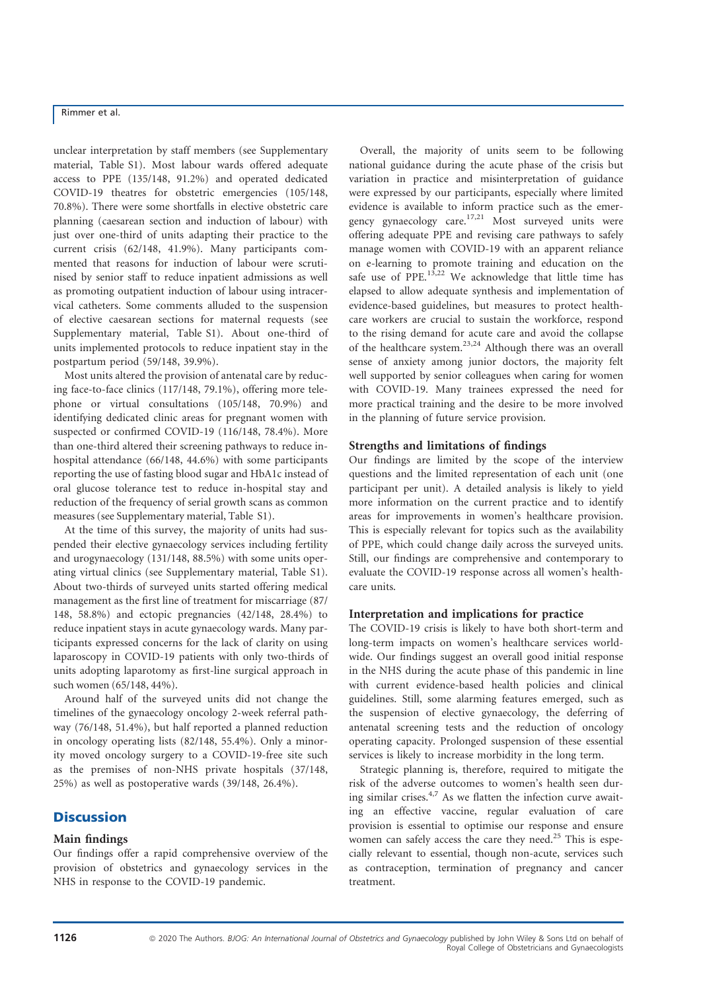## Rimmer et al.

unclear interpretation by staff members (see Supplementary material, Table S1). Most labour wards offered adequate access to PPE (135/148, 91.2%) and operated dedicated COVID-19 theatres for obstetric emergencies (105/148, 70.8%). There were some shortfalls in elective obstetric care planning (caesarean section and induction of labour) with just over one-third of units adapting their practice to the current crisis (62/148, 41.9%). Many participants commented that reasons for induction of labour were scrutinised by senior staff to reduce inpatient admissions as well as promoting outpatient induction of labour using intracervical catheters. Some comments alluded to the suspension of elective caesarean sections for maternal requests (see Supplementary material, Table S1). About one-third of units implemented protocols to reduce inpatient stay in the postpartum period (59/148, 39.9%).

Most units altered the provision of antenatal care by reducing face-to-face clinics (117/148, 79.1%), offering more telephone or virtual consultations (105/148, 70.9%) and identifying dedicated clinic areas for pregnant women with suspected or confirmed COVID-19 (116/148, 78.4%). More than one-third altered their screening pathways to reduce inhospital attendance (66/148, 44.6%) with some participants reporting the use of fasting blood sugar and HbA1c instead of oral glucose tolerance test to reduce in-hospital stay and reduction of the frequency of serial growth scans as common measures (see Supplementary material, Table S1).

At the time of this survey, the majority of units had suspended their elective gynaecology services including fertility and urogynaecology (131/148, 88.5%) with some units operating virtual clinics (see Supplementary material, Table S1). About two-thirds of surveyed units started offering medical management as the first line of treatment for miscarriage (87/ 148, 58.8%) and ectopic pregnancies (42/148, 28.4%) to reduce inpatient stays in acute gynaecology wards. Many participants expressed concerns for the lack of clarity on using laparoscopy in COVID-19 patients with only two-thirds of units adopting laparotomy as first-line surgical approach in such women (65/148, 44%).

Around half of the surveyed units did not change the timelines of the gynaecology oncology 2-week referral pathway (76/148, 51.4%), but half reported a planned reduction in oncology operating lists (82/148, 55.4%). Only a minority moved oncology surgery to a COVID-19-free site such as the premises of non-NHS private hospitals (37/148, 25%) as well as postoperative wards (39/148, 26.4%).

# **Discussion**

## Main findings

Our findings offer a rapid comprehensive overview of the provision of obstetrics and gynaecology services in the NHS in response to the COVID-19 pandemic.

Overall, the majority of units seem to be following national guidance during the acute phase of the crisis but variation in practice and misinterpretation of guidance were expressed by our participants, especially where limited evidence is available to inform practice such as the emergency gynaecology care.<sup>17,21</sup> Most surveyed units were offering adequate PPE and revising care pathways to safely manage women with COVID-19 with an apparent reliance on e-learning to promote training and education on the safe use of  $\text{PPE.}^{13,22}$  We acknowledge that little time has elapsed to allow adequate synthesis and implementation of evidence-based guidelines, but measures to protect healthcare workers are crucial to sustain the workforce, respond to the rising demand for acute care and avoid the collapse of the healthcare system.<sup>23,24</sup> Although there was an overall sense of anxiety among junior doctors, the majority felt well supported by senior colleagues when caring for women with COVID-19. Many trainees expressed the need for more practical training and the desire to be more involved in the planning of future service provision.

#### Strengths and limitations of findings

Our findings are limited by the scope of the interview questions and the limited representation of each unit (one participant per unit). A detailed analysis is likely to yield more information on the current practice and to identify areas for improvements in women's healthcare provision. This is especially relevant for topics such as the availability of PPE, which could change daily across the surveyed units. Still, our findings are comprehensive and contemporary to evaluate the COVID-19 response across all women's healthcare units.

#### Interpretation and implications for practice

The COVID-19 crisis is likely to have both short-term and long-term impacts on women's healthcare services worldwide. Our findings suggest an overall good initial response in the NHS during the acute phase of this pandemic in line with current evidence-based health policies and clinical guidelines. Still, some alarming features emerged, such as the suspension of elective gynaecology, the deferring of antenatal screening tests and the reduction of oncology operating capacity. Prolonged suspension of these essential services is likely to increase morbidity in the long term.

Strategic planning is, therefore, required to mitigate the risk of the adverse outcomes to women's health seen during similar crises. $4,7$  As we flatten the infection curve awaiting an effective vaccine, regular evaluation of care provision is essential to optimise our response and ensure women can safely access the care they need. $25$  This is especially relevant to essential, though non-acute, services such as contraception, termination of pregnancy and cancer treatment.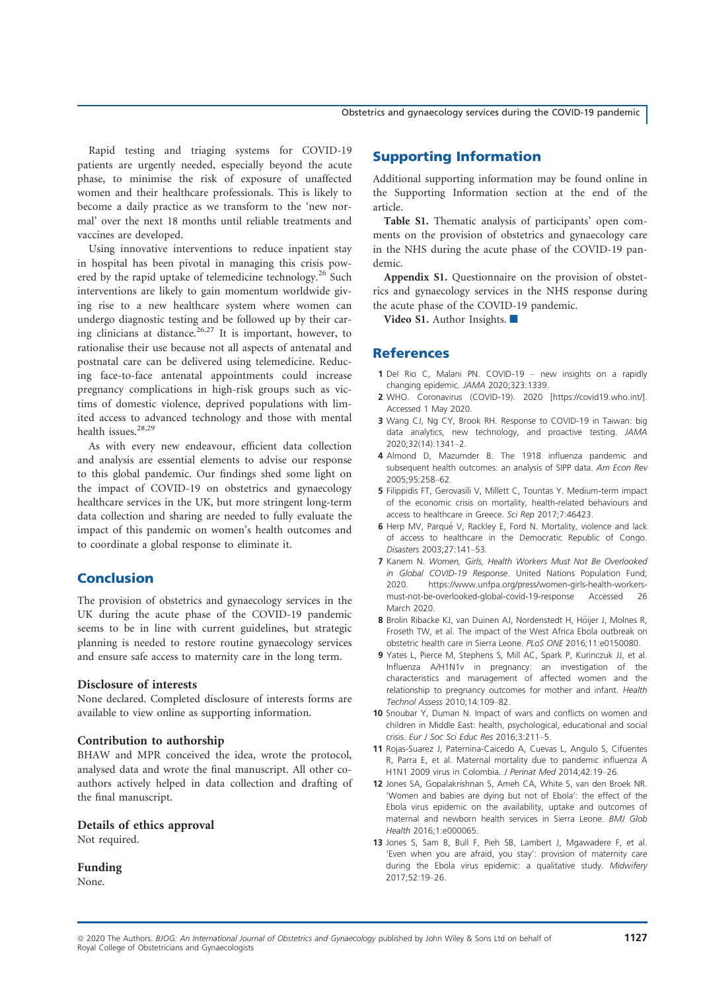Obstetrics and gynaecology services during the COVID-19 pandemic

Rapid testing and triaging systems for COVID-19 patients are urgently needed, especially beyond the acute phase, to minimise the risk of exposure of unaffected women and their healthcare professionals. This is likely to become a daily practice as we transform to the 'new normal' over the next 18 months until reliable treatments and vaccines are developed.

Using innovative interventions to reduce inpatient stay in hospital has been pivotal in managing this crisis powered by the rapid uptake of telemedicine technology.<sup>26</sup> Such interventions are likely to gain momentum worldwide giving rise to a new healthcare system where women can undergo diagnostic testing and be followed up by their caring clinicians at distance.  $26,27$  It is important, however, to rationalise their use because not all aspects of antenatal and postnatal care can be delivered using telemedicine. Reducing face-to-face antenatal appointments could increase pregnancy complications in high-risk groups such as victims of domestic violence, deprived populations with limited access to advanced technology and those with mental health issues.<sup>28,29</sup>

As with every new endeavour, efficient data collection and analysis are essential elements to advise our response to this global pandemic. Our findings shed some light on the impact of COVID-19 on obstetrics and gynaecology healthcare services in the UK, but more stringent long-term data collection and sharing are needed to fully evaluate the impact of this pandemic on women's health outcomes and to coordinate a global response to eliminate it.

# Conclusion

The provision of obstetrics and gynaecology services in the UK during the acute phase of the COVID-19 pandemic seems to be in line with current guidelines, but strategic planning is needed to restore routine gynaecology services and ensure safe access to maternity care in the long term.

#### Disclosure of interests

None declared. Completed disclosure of interests forms are available to view online as supporting information.

#### Contribution to authorship

BHAW and MPR conceived the idea, wrote the protocol, analysed data and wrote the final manuscript. All other coauthors actively helped in data collection and drafting of the final manuscript.

## Details of ethics approval

Not required.

# Funding

None.

# Supporting Information

Additional supporting information may be found online in the Supporting Information section at the end of the article.

Table S1. Thematic analysis of participants' open comments on the provision of obstetrics and gynaecology care in the NHS during the acute phase of the COVID-19 pandemic.

Appendix S1. Questionnaire on the provision of obstetrics and gynaecology services in the NHS response during the acute phase of the COVID-19 pandemic.

Video S1. Author Insights.

# **References**

- 1 Del Rio C, Malani PN. COVID-19 new insights on a rapidly changing epidemic. JAMA 2020;323:1339.
- 2 WHO. Coronavirus (COVID-19). 2020 [[https://covid19.who.int/\]](https://covid19.who.int/). Accessed 1 May 2020.
- 3 Wang CJ, Ng CY, Brook RH. Response to COVID-19 in Taiwan: big data analytics, new technology, and proactive testing. JAMA 2020;32(14):1341–2.
- 4 Almond D, Mazumder B. The 1918 influenza pandemic and subsequent health outcomes: an analysis of SIPP data. Am Econ Rev 2005;95:258–62.
- 5 Filippidis FT, Gerovasili V, Millett C, Tountas Y. Medium-term impact of the economic crisis on mortality, health-related behaviours and access to healthcare in Greece. Sci Rep 2017;7:46423.
- 6 Herp MV, Parqué V, Rackley E, Ford N. Mortality, violence and lack of access to healthcare in the Democratic Republic of Congo. Disasters 2003;27:141–53.
- 7 Kanem N. Women, Girls, Health Workers Must Not Be Overlooked in Global COVID-19 Response. United Nations Population Fund; 2020. [https://www.unfpa.org/press/women-girls-health-workers](https://www.unfpa.org/press/women-girls-health-workers-must-not-be-overlooked-global-covid-19-response)[must-not-be-overlooked-global-covid-19-response](https://www.unfpa.org/press/women-girls-health-workers-must-not-be-overlooked-global-covid-19-response) Accessed 26 March 2020.
- 8 Brolin Ribacke KJ, van Duinen AJ, Nordenstedt H, Höijer J, Molnes R, Froseth TW, et al. The impact of the West Africa Ebola outbreak on obstetric health care in Sierra Leone. PLoS ONE 2016;11:e0150080.
- 9 Yates L, Pierce M, Stephens S, Mill AC, Spark P, Kurinczuk JJ, et al. Influenza A/H1N1v in pregnancy: an investigation of the characteristics and management of affected women and the relationship to pregnancy outcomes for mother and infant. Health Technol Assess 2010;14:109–82.
- 10 Snoubar Y, Duman N. Impact of wars and conflicts on women and children in Middle East: health, psychological, educational and social crisis. Eur J Soc Sci Educ Res 2016;3:211–5.
- 11 Rojas-Suarez J, Paternina-Caicedo A, Cuevas L, Angulo S, Cifuentes R, Parra E, et al. Maternal mortality due to pandemic influenza A H1N1 2009 virus in Colombia. J Perinat Med 2014;42:19–26.
- 12 Jones SA, Gopalakrishnan S, Ameh CA, White S, van den Broek NR. 'Women and babies are dying but not of Ebola': the effect of the Ebola virus epidemic on the availability, uptake and outcomes of maternal and newborn health services in Sierra Leone. BMJ Glob Health 2016;1:e000065.
- 13 Jones S, Sam B, Bull F, Pieh SB, Lambert J, Mgawadere F, et al. 'Even when you are afraid, you stay': provision of maternity care during the Ebola virus epidemic: a qualitative study. Midwifery 2017;52:19–26.